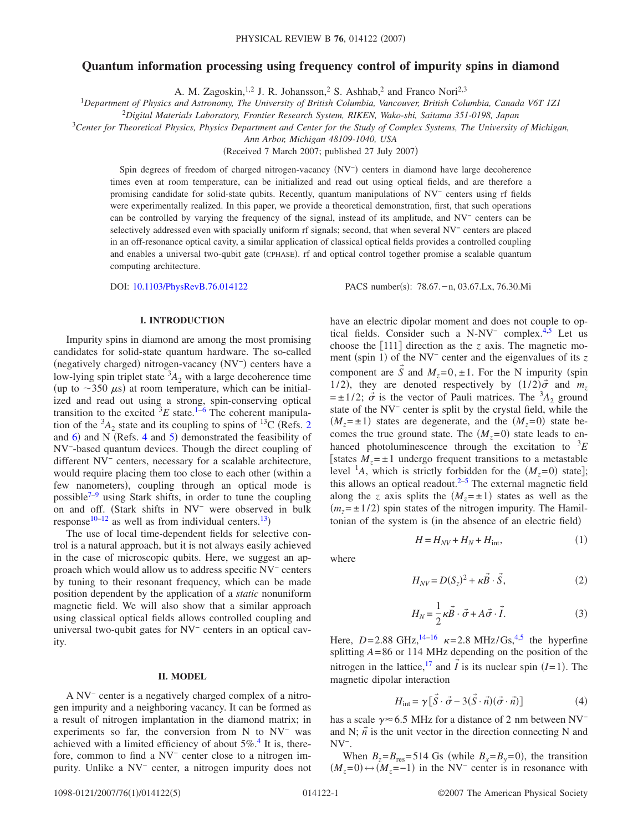# **Quantum information processing using frequency control of impurity spins in diamond**

A. M. Zagoskin,<sup>1,2</sup> J. R. Johansson,<sup>2</sup> S. Ashhab,<sup>2</sup> and Franco Nori<sup>2,3</sup>

1 *Department of Physics and Astronomy, The University of British Columbia, Vancouver, British Columbia, Canada V6T 1Z1*

<sup>2</sup>*Digital Materials Laboratory, Frontier Research System, RIKEN, Wako-shi, Saitama 351-0198, Japan*

3 *Center for Theoretical Physics, Physics Department and Center for the Study of Complex Systems, The University of Michigan,*

*Ann Arbor, Michigan 48109-1040, USA*

(Received 7 March 2007; published 27 July 2007)

Spin degrees of freedom of charged nitrogen-vacancy (NV<sup>-</sup>) centers in diamond have large decoherence times even at room temperature, can be initialized and read out using optical fields, and are therefore a promising candidate for solid-state qubits. Recently, quantum manipulations of NV− centers using rf fields were experimentally realized. In this paper, we provide a theoretical demonstration, first, that such operations can be controlled by varying the frequency of the signal, instead of its amplitude, and NV− centers can be selectively addressed even with spacially uniform rf signals; second, that when several NV− centers are placed in an off-resonance optical cavity, a similar application of classical optical fields provides a controlled coupling and enables a universal two-qubit gate (CPHASE). rf and optical control together promise a scalable quantum computing architecture.

DOI: [10.1103/PhysRevB.76.014122](http://dx.doi.org/10.1103/PhysRevB.76.014122)

PACS number(s): 78.67. - n, 03.67. Lx, 76.30. Mi

#### **I. INTRODUCTION**

Impurity spins in diamond are among the most promising candidates for solid-state quantum hardware. The so-called (negatively charged) nitrogen-vacancy (NV<sup>-</sup>) centers have a low-lying spin triplet state  ${}^{3}A_{2}$  with a large decoherence time (up to  $\sim$ 350  $\mu$ s) at room temperature, which can be initialized and read out using a strong, spin-conserving optical transition to the excited  ${}^{3}E$  state.<sup>1-[6](#page-4-1)</sup> The coherent manipulation of the  ${}^{3}A_2$  ${}^{3}A_2$  state and its coupling to spins of  ${}^{13}C$  (Refs. 2) and  $6$ ) and N (Refs. [4](#page-4-3) and  $5$ ) demonstrated the feasibility of NV−-based quantum devices. Though the direct coupling of different NV− centers, necessary for a scalable architecture, would require placing them too close to each other (within a few nanometers), coupling through an optical mode is possible $7-9$  using Stark shifts, in order to tune the coupling on and off. Stark shifts in NV− were observed in bulk response<sup>10[–12](#page-4-8)</sup> as well as from individual centers.<sup>13</sup>)

The use of local time-dependent fields for selective control is a natural approach, but it is not always easily achieved in the case of microscopic qubits. Here, we suggest an approach which would allow us to address specific NV− centers by tuning to their resonant frequency, which can be made position dependent by the application of a *static* nonuniform magnetic field. We will also show that a similar approach using classical optical fields allows controlled coupling and universal two-qubit gates for NV− centers in an optical cavity.

## **II. MODEL**

A NV− center is a negatively charged complex of a nitrogen impurity and a neighboring vacancy. It can be formed as a result of nitrogen implantation in the diamond matrix; in experiments so far, the conversion from N to NV− was achieved with a limited efficiency of about  $5\%$ .<sup>4</sup> It is, therefore, common to find a NV− center close to a nitrogen impurity. Unlike a NV− center, a nitrogen impurity does not have an electric dipolar moment and does not couple to optical fields. Consider such a N-NV− complex[.4](#page-4-3)[,5](#page-4-4) Let us choose the  $[111]$  direction as the *z* axis. The magnetic moment (spin 1) of the NV<sup>-</sup> center and the eigenvalues of its *z* component are *S* and  $M_z = 0, \pm 1$ . For the N impurity (spin 1/2), they are denoted respectively by  $(1/2)\vec{\sigma}$  and  $m_z$  $= \pm 1/2$ ;  $\vec{\sigma}$  is the vector of Pauli matrices. The <sup>3</sup>A<sub>2</sub> ground state of the NV− center is split by the crystal field, while the  $(M_z = \pm 1)$  states are degenerate, and the  $(M_z = 0)$  state becomes the true ground state. The  $(M_z=0)$  state leads to enhanced photoluminescence through the excitation to  ${}^{3}E$ [states  $M_z = \pm 1$  undergo frequent transitions to a metastable level <sup>1</sup>A, which is strictly forbidden for the  $(M_z=0)$  state]; this allows an optical readout. $2-5$  The external magnetic field along the *z* axis splits the  $(M_z = \pm 1)$  states as well as the  $(m_z = \pm 1/2)$  spin states of the nitrogen impurity. The Hamiltonian of the system is (in the absence of an electric field)

$$
H = H_{NV} + H_N + H_{\text{int}},\tag{1}
$$

<span id="page-0-1"></span>where

$$
H_{NV} = D(S_z)^2 + \kappa \vec{B} \cdot \vec{S},\tag{2}
$$

$$
H_N = \frac{1}{2}\kappa \vec{B} \cdot \vec{\sigma} + A\vec{\sigma} \cdot \vec{I}.
$$
 (3)

Here,  $D = 2.88 \text{ GHz}^{14-16} \text{ K} = 2.8 \text{ MHz/Gs}^{4,5}$  $D = 2.88 \text{ GHz}^{14-16} \text{ K} = 2.8 \text{ MHz/Gs}^{4,5}$  $D = 2.88 \text{ GHz}^{14-16} \text{ K} = 2.8 \text{ MHz/Gs}^{4,5}$  the hyperfine splitting *A*=86 or 114 MHz depending on the position of the nitrogen in the lattice,<sup>17</sup> and  $\vec{l}$  is its nuclear spin *(I*=1). The magnetic dipolar interaction

→

$$
H_{\text{int}} = \gamma \left[ S \cdot \vec{\sigma} - 3(S \cdot \vec{n}) (\vec{\sigma} \cdot \vec{n}) \right]
$$
(4)

→

<span id="page-0-0"></span>has a scale  $\gamma \approx 6.5$  MHz for a distance of 2 nm between NV<sup>-</sup> and N;  $\vec{n}$  is the unit vector in the direction connecting N and NV−.

When  $B_z = B_{\text{res}} = 514$  Gs (while  $B_x = B_y = 0$ ), the transition  $(M_z=0) \leftrightarrow (M_z=-1)$  in the NV<sup>-</sup> center is in resonance with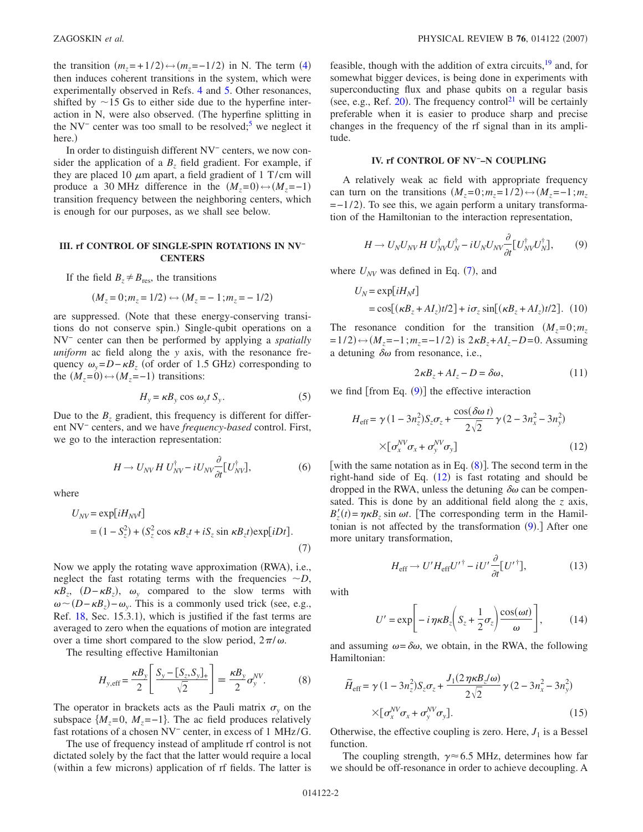the transition  $(m_z = +1/2) \leftrightarrow (m_z = -1/2)$  in N. The term ([4](#page-0-0)) then induces coherent transitions in the system, which were experimentally observed in Refs. [4](#page-4-3) and [5.](#page-4-4) Other resonances, shifted by  $\sim$  15 Gs to either side due to the hyperfine interaction in N, were also observed. The hyperfine splitting in the NV<sup>-</sup> center was too small to be resolved;<sup>5</sup> we neglect it here.)

In order to distinguish different NV− centers, we now consider the application of a  $B<sub>z</sub>$  field gradient. For example, if they are placed 10  $\mu$ m apart, a field gradient of 1 T/cm will produce a 30 MHz difference in the  $(M_z=0) \rightarrow (M_z=-1)$ transition frequency between the neighboring centers, which is enough for our purposes, as we shall see below.

#### **III. rf CONTROL OF SINGLE-SPIN ROTATIONS IN NV− CENTERS**

If the field  $B_z \neq B_{\text{res}}$ , the transitions

$$
(M_z = 0; m_z = 1/2) \leftrightarrow (M_z = -1; m_z = -1/2)
$$

are suppressed. Note that these energy-conserving transitions do not conserve spin.) Single-qubit operations on a NV− center can then be performed by applying a *spatially uniform* ac field along the *y* axis, with the resonance frequency  $\omega_y = D - \kappa B_z$  (of order of 1.5 GHz) corresponding to the  $(M_z=0) \leftrightarrow (M_z=-1)$  transitions:

$$
H_y = \kappa B_y \cos \omega_y t S_y. \tag{5}
$$

Due to the  $B<sub>z</sub>$  gradient, this frequency is different for different NV− centers, and we have *frequency-based* control. First, we go to the interaction representation:

$$
H \to U_{NV} H U_{NV}^{\dagger} - iU_{NV} \frac{\partial}{\partial t} [U_{NV}^{\dagger}], \tag{6}
$$

<span id="page-1-0"></span>where

$$
U_{NV} = \exp[iH_{NV}t]
$$
  
=  $(1 - S_z^2) + (S_z^2 \cos \kappa B_z t + iS_z \sin \kappa B_z t) \exp[iDt].$  (7)

Now we apply the rotating wave approximation (RWA), i.e., neglect the fast rotating terms with the frequencies  $\sim D$ ,  $\kappa B_z$ ,  $(D - \kappa B_z)$ ,  $\omega_y$  compared to the slow terms with  $\omega \sim (D - \kappa B_z) - \omega_y$ . This is a commonly used trick (see, e.g., Ref. [18,](#page-4-13) Sec. 15.3.1), which is justified if the fast terms are averaged to zero when the equations of motion are integrated over a time short compared to the slow period,  $2\pi/\omega$ .

<span id="page-1-2"></span>The resulting effective Hamiltonian

$$
H_{y,\text{eff}} = \frac{\kappa B_y}{2} \left[ \frac{S_y - [S_z, S_y]_+}{\sqrt{2}} \right] \equiv \frac{\kappa B_y}{2} \sigma_y^{NV}.
$$
 (8)

The operator in brackets acts as the Pauli matrix  $\sigma_y$  on the subspace  ${M<sub>z</sub>=0, M<sub>z</sub>=-1}$ . The ac field produces relatively fast rotations of a chosen NV− center, in excess of 1 MHz/G.

The use of frequency instead of amplitude rf control is not dictated solely by the fact that the latter would require a local (within a few microns) application of rf fields. The latter is

feasible, though with the addition of extra circuits, $\frac{19}{19}$  and, for somewhat bigger devices, is being done in experiments with superconducting flux and phase qubits on a regular basis (see, e.g., Ref. [20](#page-4-15)). The frequency control<sup>21</sup> will be certainly preferable when it is easier to produce sharp and precise changes in the frequency of the rf signal than in its amplitude.

## **IV. rf CONTROL OF NV−–N COUPLING**

A relatively weak ac field with appropriate frequency can turn on the transitions  $(M_z=0; m_z=1/2) \leftrightarrow (M_z=-1; m_z)$  $=$  -1/2). To see this, we again perform a unitary transformation of the Hamiltonian to the interaction representation,

$$
H \to U_N U_{NV} H U_{NV}^\dagger U_N^\dagger - i U_N U_{NV} \frac{\partial}{\partial t} [U_{NV}^\dagger U_N^\dagger],\tag{9}
$$

<span id="page-1-1"></span>where  $U_{\text{NV}}$  was defined in Eq. ([7](#page-1-0)), and

$$
U_N = \exp[iH_Nt]
$$
  
=  $\cos[(\kappa B_z + A I_z)t/2] + i\sigma_z \sin[(\kappa B_z + A I_z)t/2]$ . (10)

The resonance condition for the transition  $(M_z=0; m_z)$  $=1/2$ )  $\leftrightarrow$  (*M*<sub>z</sub>=−1;*m<sub>z</sub>*=−1/2) is 2*κB<sub>z</sub>*+*AI<sub>z</sub>*−*D*=0. Assuming a detuning  $\delta\omega$  from resonance, i.e.,

$$
2\kappa B_z + A I_z - D = \delta \omega, \qquad (11)
$$

<span id="page-1-3"></span>we find  $[$  from Eq.  $(9)$  $(9)$  $(9)$  $]$  the effective interaction

$$
H_{\text{eff}} = \gamma (1 - 3n_z^2) S_z \sigma_z + \frac{\cos(\delta \omega t)}{2\sqrt{2}} \gamma (2 - 3n_x^2 - 3n_y^2)
$$
  
×[ $\sigma_x^{\text{IV}} \sigma_x + \sigma_y^{\text{IV}} \sigma_y$ ] (12)

[with the same notation as in Eq.  $(8)$  $(8)$  $(8)$ ]. The second term in the right-hand side of Eq.  $(12)$  $(12)$  $(12)$  is fast rotating and should be dropped in the RWA, unless the detuning  $\delta \omega$  can be compensated. This is done by an additional field along the *z* axis,  $B'_z(t) = \eta \kappa B_z \sin \omega t$ . [The corresponding term in the Hamiltonian is not affected by the transformation  $(9)$  $(9)$  $(9)$ .] After one more unitary transformation,

$$
H_{\rm eff} \to U'H_{\rm eff}U'^{\dagger} - iU'\frac{\partial}{\partial t}[U'^{\dagger}],\tag{13}
$$

with

$$
U' = \exp\bigg[-i\,\eta\kappa B_z \bigg(S_z + \frac{1}{2}\sigma_z\bigg)\frac{\cos(\omega t)}{\omega}\bigg],\tag{14}
$$

and assuming  $\omega = \delta \omega$ , we obtain, in the RWA, the following Hamiltonian:

<span id="page-1-4"></span>
$$
\widetilde{H}_{\text{eff}} = \gamma (1 - 3n_z^2) S_z \sigma_z + \frac{J_1(2 \eta \kappa B_z/\omega)}{2\sqrt{2}} \gamma (2 - 3n_x^2 - 3n_y^2)
$$

$$
\times [\sigma_x^{NV} \sigma_x + \sigma_y^{NV} \sigma_y].
$$
\n(15)

Otherwise, the effective coupling is zero. Here,  $J_1$  is a Bessel function.

The coupling strength,  $\gamma \approx 6.5$  MHz, determines how far we should be off-resonance in order to achieve decoupling. A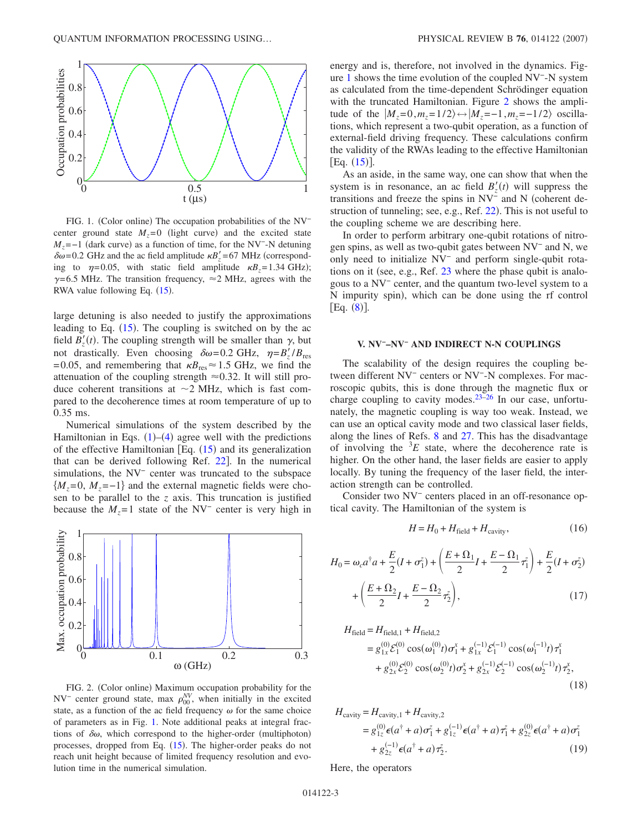<span id="page-2-0"></span>

FIG. 1. (Color online) The occupation probabilities of the NV<sup>-</sup> center ground state  $M_z = 0$  (light curve) and the excited state  $M_z$ =−1 (dark curve) as a function of time, for the NV<sup>-</sup>-N detuning  $\delta \omega$ =0.2 GHz and the ac field amplitude  $\kappa B'_z$  =67 MHz (corresponding to  $\eta = 0.05$ , with static field amplitude  $\kappa B_z = 1.34 \text{ GHz}$ ;  $\gamma$ =6.5 MHz. The transition frequency,  $\approx$ 2 MHz, agrees with the RWA value following Eq. ([15](#page-1-4)).

large detuning is also needed to justify the approximations leading to Eq.  $(15)$  $(15)$  $(15)$ . The coupling is switched on by the ac field  $B'_z(t)$ . The coupling strength will be smaller than  $\gamma$ , but not drastically. Even choosing  $\delta \omega = 0.2 \text{ GHz}, \eta = B_z'/B_{\text{res}}$ =0.05, and remembering that  $\kappa B_{\text{res}} \approx 1.5$  GHz, we find the attenuation of the coupling strength  $\approx 0.32$ . It will still produce coherent transitions at  $\sim$  2 MHz, which is fast compared to the decoherence times at room temperature of up to 0.35 ms.

Numerical simulations of the system described by the Hamiltonian in Eqs.  $(1)$  $(1)$  $(1)$ – $(4)$  $(4)$  $(4)$  agree well with the predictions of the effective Hamiltonian [Eq.  $(15)$  $(15)$  $(15)$  and its generalization that can be derived following Ref.  $22$ ]. In the numerical simulations, the NV− center was truncated to the subspace  ${M_z=0, M_z=-1}$  and the external magnetic fields were chosen to be parallel to the *z* axis. This truncation is justified because the  $M<sub>z</sub>=1$  state of the NV<sup>-</sup> center is very high in

<span id="page-2-1"></span>

FIG. 2. (Color online) Maximum occupation probability for the  $NV^-$  center ground state, max  $\rho_{00}^{NV}$ , when initially in the excited state, as a function of the ac field frequency  $\omega$  for the same choice of parameters as in Fig. [1.](#page-2-0) Note additional peaks at integral fractions of  $\delta\omega$ , which correspond to the higher-order (multiphoton) processes, dropped from Eq. ([15](#page-1-4)). The higher-order peaks do not reach unit height because of limited frequency resolution and evolution time in the numerical simulation.

energy and is, therefore, not involved in the dynamics. Figure [1](#page-2-0) shows the time evolution of the coupled NV−-N system as calculated from the time-dependent Schrödinger equation with the truncated Hamiltonian. Figure [2](#page-2-1) shows the amplitude of the  $|M_z=0, m_z=1/2\rangle \leftrightarrow |M_z=-1, m_z=-1/2\rangle$  oscillations, which represent a two-qubit operation, as a function of external-field driving frequency. These calculations confirm the validity of the RWAs leading to the effective Hamiltonian  $[Eq. (15)].$  $[Eq. (15)].$  $[Eq. (15)].$ 

As an aside, in the same way, one can show that when the system is in resonance, an ac field  $B'_z(t)$  will suppress the transitions and freeze the spins in NV<sup>−</sup> and N (coherent de-struction of tunneling; see, e.g., Ref. [22](#page-4-17)). This is not useful to the coupling scheme we are describing here.

In order to perform arbitrary one-qubit rotations of nitrogen spins, as well as two-qubit gates between NV− and N, we only need to initialize NV− and perform single-qubit rotations on it (see, e.g., Ref.  $23$  where the phase qubit is analogous to a NV− center, and the quantum two-level system to a N impurity spin), which can be done using the rf control  $[Eq. (8)].$  $[Eq. (8)].$  $[Eq. (8)].$ 

### **V. NV−–NV− AND INDIRECT N-N COUPLINGS**

The scalability of the design requires the coupling between different NV− centers or NV−-N complexes. For macroscopic qubits, this is done through the magnetic flux or charge coupling to cavity modes.<sup>23-26</sup> In our case, unfortunately, the magnetic coupling is way too weak. Instead, we can use an optical cavity mode and two classical laser fields, along the lines of Refs. [8](#page-4-20) and [27.](#page-4-21) This has the disadvantage of involving the  ${}^{3}E$  state, where the decoherence rate is higher. On the other hand, the laser fields are easier to apply locally. By tuning the frequency of the laser field, the interaction strength can be controlled.

Consider two NV− centers placed in an off-resonance optical cavity. The Hamiltonian of the system is

$$
H = H_0 + H_{\text{field}} + H_{\text{cavity}},\tag{16}
$$

$$
H_0 = \omega_c a^{\dagger} a + \frac{E}{2} (I + \sigma_1^z) + \left( \frac{E + \Omega_1}{2} I + \frac{E - \Omega_1}{2} \tau_1^z \right) + \frac{E}{2} (I + \sigma_2^z) + \left( \frac{E + \Omega_2}{2} I + \frac{E - \Omega_2}{2} \tau_2^z \right),
$$
\n(17)

$$
H_{\text{field}} = H_{\text{field},1} + H_{\text{field},2}
$$
  
=  $g_{1x}^{(0)} \mathcal{E}_1^{(0)} \cos(\omega_1^{(0)} t) \sigma_1^x + g_{1x}^{(-1)} \mathcal{E}_1^{(-1)} \cos(\omega_1^{(-1)} t) \tau_1^x$   
+  $g_{2x}^{(0)} \mathcal{E}_2^{(0)} \cos(\omega_2^{(0)} t) \sigma_2^x + g_{2x}^{(-1)} \mathcal{E}_2^{(-1)} \cos(\omega_2^{(-1)} t) \tau_2^x$ , (18)

$$
H_{\text{cavity}} = H_{\text{cavity},1} + H_{\text{cavity},2}
$$
  
=  $g_{1z}^{(0)} \epsilon(a^{\dagger} + a) \sigma_1^{z} + g_{1z}^{(-1)} \epsilon(a^{\dagger} + a) \tau_1^{z} + g_{2z}^{(0)} \epsilon(a^{\dagger} + a) \sigma_1^{z}$   
+  $g_{2z}^{(-1)} \epsilon(a^{\dagger} + a) \tau_2^{z}$ . (19)

Here, the operators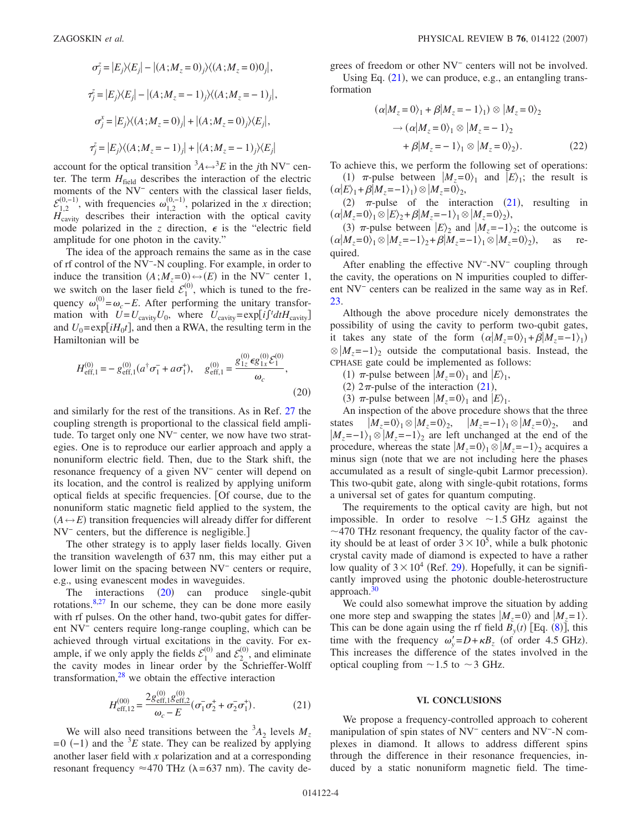$$
\sigma_j^z = |E_j\rangle\langle E_j| - |(A;M_z = 0)_j\rangle\langle(A;M_z = 0)0_j|,
$$
  
\n
$$
\tau_j^z = |E_j\rangle\langle E_j| - |(A;M_z = -1)_j\rangle\langle(A;M_z = -1)_j|,
$$
  
\n
$$
\sigma_j^x = |E_j\rangle\langle(A;M_z = 0)_j| + |(A;M_z = 0)_j\rangle\langle E_j|,
$$
  
\n
$$
\tau_j^z = |E_j\rangle\langle(A;M_z = -1)_j| + |(A;M_z = -1)_j\rangle\langle E_j|
$$

account for the optical transition  ${}^3A \leftrightarrow {}^3E$  in the *j*th NV<sup>-</sup> center. The term  $H_{field}$  describes the interaction of the electric moments of the NV<sup>−</sup> centers with the classical laser fields,  $\mathcal{E}_{1,2}^{(0,-1)}$ , with frequencies  $\omega_{1,2}^{(0,-1)}$ , polarized in the *x* direction; *H*<sub>cavity</sub> describes their interaction with the optical cavity mode polarized in the *z* direction,  $\epsilon$  is the "electric field" amplitude for one photon in the cavity."

The idea of the approach remains the same as in the case of rf control of the NV−-N coupling. For example, in order to induce the transition  $(A; M_z=0) \leftrightarrow (E)$  in the NV<sup>-</sup> center 1, we switch on the laser field  $\mathcal{E}_1^{(0)}$ , which is tuned to the frequency  $\omega_1^{(0)} = \omega_c - E$ . After performing the unitary transformation with  $U = U_{\text{cavity}} U_0$ , where  $U_{\text{cavity}} = \exp[i \int t dt H_{\text{cavity}}]$ and  $U_0 = \exp[iH_0t]$ , and then a RWA, the resulting term in the Hamiltonian will be

<span id="page-3-0"></span>
$$
H_{\text{eff},1}^{(0)} = -g_{\text{eff},1}^{(0)}(a^{\dagger}\sigma_{1}^{-} + a\sigma_{1}^{+}), \quad g_{\text{eff},1}^{(0)} = \frac{g_{1z}^{(0)} \epsilon g_{1x}^{(0)} \mathcal{E}_{1}^{(0)}}{\omega_{c}},
$$
\n(20)

and similarly for the rest of the transitions. As in Ref. [27](#page-4-21) the coupling strength is proportional to the classical field amplitude. To target only one NV− center, we now have two strategies. One is to reproduce our earlier approach and apply a nonuniform electric field. Then, due to the Stark shift, the resonance frequency of a given NV− center will depend on its location, and the control is realized by applying uniform optical fields at specific frequencies. Of course, due to the nonuniform static magnetic field applied to the system, the  $(A \leftrightarrow E)$  transition frequencies will already differ for different NV<sup>−</sup> centers, but the difference is negligible.]

The other strategy is to apply laser fields locally. Given the transition wavelength of 637 nm, this may either put a lower limit on the spacing between NV− centers or require, e.g., using evanescent modes in waveguides.

The interactions  $(20)$  $(20)$  $(20)$  can produce single-qubit rotations. $8,27$  $8,27$  In our scheme, they can be done more easily with rf pulses. On the other hand, two-qubit gates for different NV− centers require long-range coupling, which can be achieved through virtual excitations in the cavity. For example, if we only apply the fields  $\mathcal{E}_1^{(0)}$  and  $\mathcal{E}_2^{(0)}$ , and eliminate the cavity modes in linear order by the Schrieffer-Wolff transformation, $28$  we obtain the effective interaction

$$
H_{\text{eff},12}^{(00)} = \frac{2g_{\text{eff},1}^{(0)}g_{\text{eff},2}^{(0)}}{\omega_c - E} (\sigma_1^-\sigma_2^+ + \sigma_2^-\sigma_1^+). \tag{21}
$$

<span id="page-3-1"></span>We will also need transitions between the  ${}^{3}A_2$  levels  $M_z$  $=0$  (-1) and the <sup>3</sup>*E* state. They can be realized by applying another laser field with *x* polarization and at a corresponding resonant frequency  $\approx$ 470 THz ( $\lambda$ =637 nm). The cavity degrees of freedom or other NV<sup>−</sup> centers will not be involved. Using Eq. ([21](#page-3-1)), we can produce, e.g., an entangling transformation

$$
(\alpha|M_z = 0\rangle_1 + \beta|M_z = -1\rangle_1) \otimes |M_z = 0\rangle_2
$$
  
\n
$$
\rightarrow (\alpha|M_z = 0\rangle_1 \otimes |M_z = -1\rangle_2
$$
  
\n
$$
+ \beta|M_z = -1\rangle_1 \otimes |M_z = 0\rangle_2).
$$
 (22)

To achieve this, we perform the following set of operations: (1)  $\pi$ -pulse between  $|M_z=0\rangle_1$  and  $|E\rangle_1$ ; the result is  $(\alpha|E\rangle_1 + \beta|M_z = -1\rangle_1) \otimes |M_z = 0\rangle_2,$ 

(2)  $\pi$ -pulse of the interaction ([21](#page-3-1)), resulting in  $(\alpha|M_z=0\rangle_1 \otimes |E\rangle_2 + \beta|M_z=-1\rangle_1 \otimes |M_z=0\rangle_2),$ 

(3)  $\pi$ -pulse between  $|E\rangle_2$  and  $|M_z=-1\rangle_2$ ; the outcome is  $(\alpha|M_z=0\rangle_1 \otimes |M_z=-1\rangle_2 + \beta|M_z=-1\rangle_1 \otimes |M_z=0\rangle_2),$ , as required.

After enabling the effective NV−-NV− coupling through the cavity, the operations on N impurities coupled to different NV− centers can be realized in the same way as in Ref. [23.](#page-4-18)

Although the above procedure nicely demonstrates the possibility of using the cavity to perform two-qubit gates, it takes any state of the form  $(\alpha|M_z=0\rangle_1+\beta|M_z=-1\rangle_1)$  $\otimes$   $|M_z=-1\rangle$ <sub>2</sub> outside the computational basis. Instead, the CPHASE gate could be implemented as follows:

- (1)  $\pi$ -pulse between  $|M_z=0\rangle_1$  and  $|E\rangle_1$ ,
- (2)  $2\pi$ -pulse of the interaction ([21](#page-3-1)),
- (3)  $\pi$ -pulse between  $|M_z=0\rangle_1$  and  $|E\rangle_1$ .

An inspection of the above procedure shows that the three states  $|M_z=0\rangle_1 \otimes |M_z=0\rangle_2$ ,  $|M_z=-1\rangle_1 \otimes |M_z=0\rangle_2$ , and  $|M_z=-1\rangle_1 \otimes |M_z=-1\rangle_2$  are left unchanged at the end of the procedure, whereas the state  $|M_z=0\rangle_1 \otimes |M_z=-1\rangle_2$  acquires a minus sign (note that we are not including here the phases accumulated as a result of single-qubit Larmor precession). This two-qubit gate, along with single-qubit rotations, forms a universal set of gates for quantum computing.

The requirements to the optical cavity are high, but not impossible. In order to resolve  $\sim$  1.5 GHz against the  $\sim$  470 THz resonant frequency, the quality factor of the cavity should be at least of order  $3 \times 10^5$ , while a bulk photonic crystal cavity made of diamond is expected to have a rather low quality of  $3 \times 10^4$  (Ref. [29](#page-4-23)). Hopefully, it can be significantly improved using the photonic double-heterostructure approach[.30](#page-4-24)

We could also somewhat improve the situation by adding one more step and swapping the states  $|M_z=0\rangle$  and  $|M_z=1\rangle$ . This can be done again using the rf field  $B_y(t)$  [Eq. ([8](#page-1-2))], this time with the frequency  $\omega_y' = D + \kappa B_z$  (of order 4.5 GHz). This increases the difference of the states involved in the optical coupling from  $\sim$  1.5 to  $\sim$  3 GHz.

#### **VI. CONCLUSIONS**

We propose a frequency-controlled approach to coherent manipulation of spin states of NV<sup>−</sup> centers and NV<sup>−</sup>-N complexes in diamond. It allows to address different spins through the difference in their resonance frequencies, induced by a static nonuniform magnetic field. The time